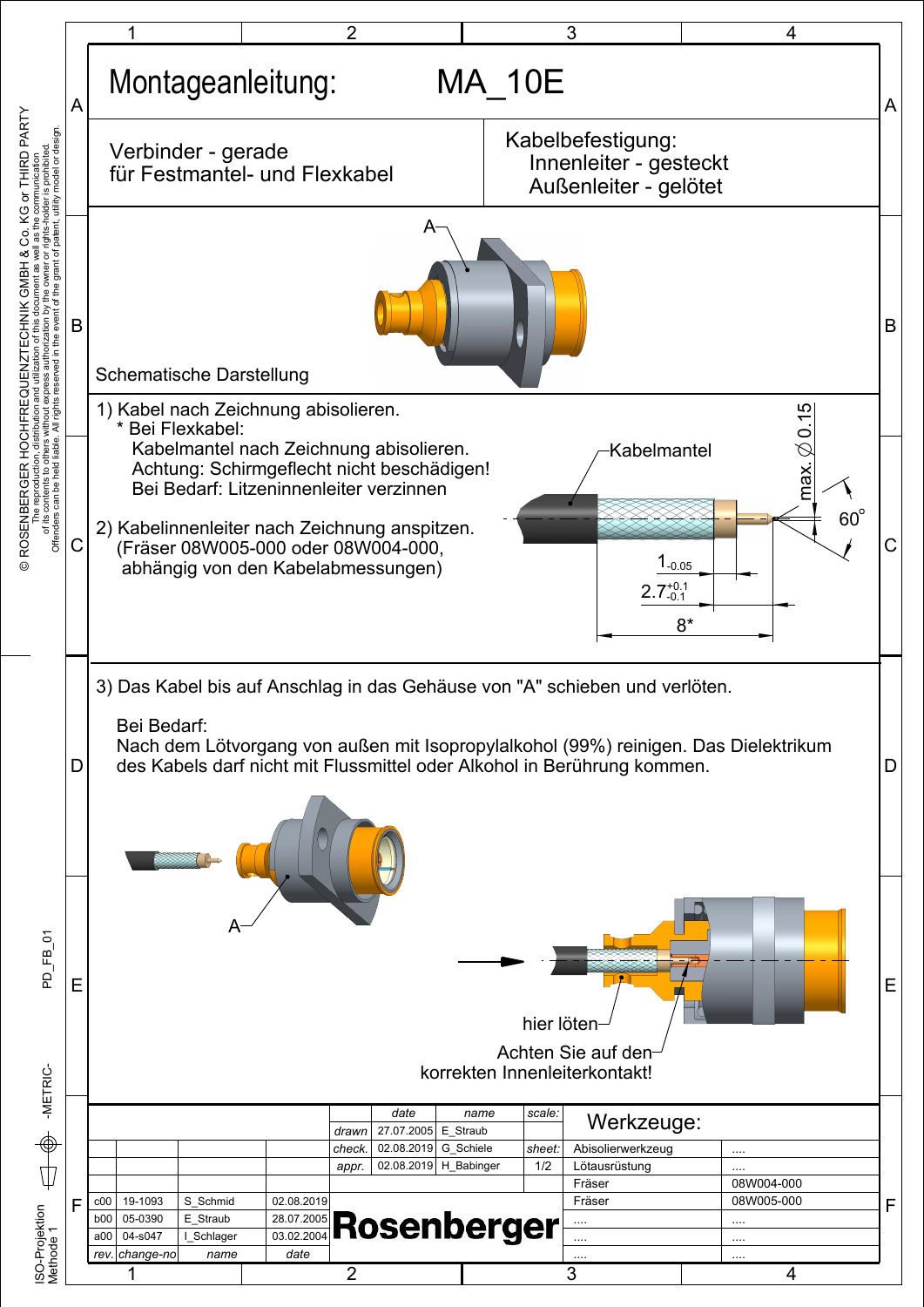